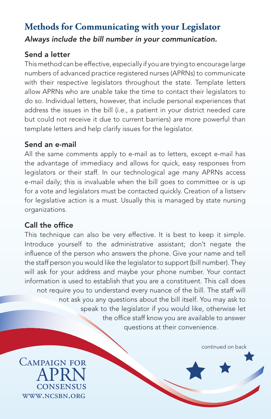# **Methods for Communicating with your Legislator** *Always include the bill number in your communication.*

### Send a letter

This method can be effective, especially if you are trying to encourage large numbers of advanced practice registered nurses (APRNs) to communicate with their respective legislators throughout the state. Template letters allow APRNs who are unable take the time to contact their legislators to do so. Individual letters, however, that include personal experiences that address the issues in the bill (i.e., a patient in your district needed care but could not receive it due to current barriers) are more powerful than template letters and help clarify issues for the legislator.

#### Send an e-mail

All the same comments apply to e-mail as to letters, except e-mail has the advantage of immediacy and allows for quick, easy responses from legislators or their staff. In our technological age many APRNs access e-mail daily; this is invaluable when the bill goes to committee or is up for a vote and legislators must be contacted quickly. Creation of a listserv for legislative action is a must. Usually this is managed by state nursing organizations.

#### Call the office

This technique can also be very effective. It is best to keep it simple. Introduce yourself to the administrative assistant; don't negate the influence of the person who answers the phone. Give your name and tell the staff person you would like the legislator to support (bill number). They will ask for your address and maybe your phone number. Your contact information is used to establish that you are a constituent. This call does not require you to understand every nuance of the bill. The staff will not ask you any questions about the bill itself. You may ask to speak to the legislator if you would like, otherwise let the office staff know you are available to answer questions at their convenience.

continued on back

Campaign for **APRN CONSENSUS** www.ncsbn.org